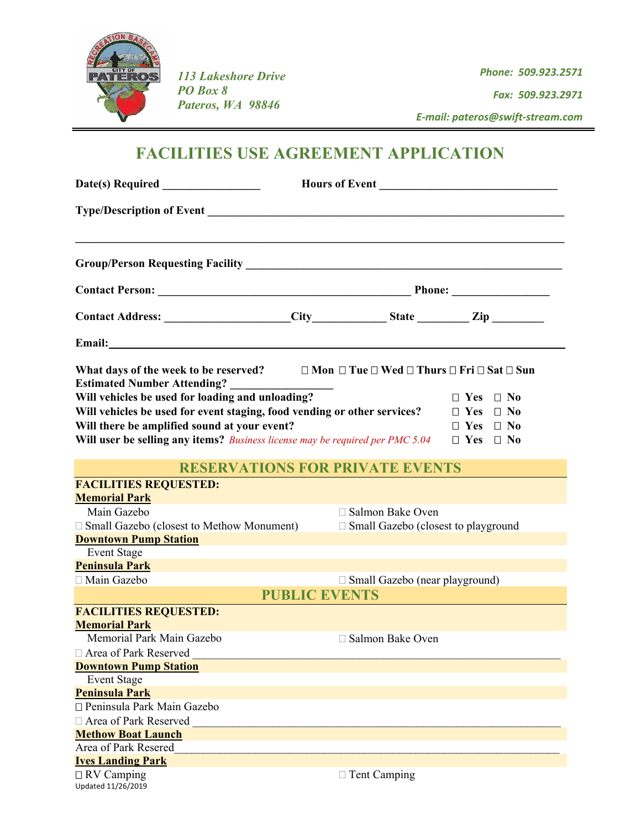

*113 Lakeshore Drive PO Box 8 Pateros, WA 98846*

*Phone: 509.923.2571 Fax: 509.923.2971*

 *E‐mail: pateros@swift‐stream.com* 

# **FACILITIES USE AGREEMENT APPLICATION**

 $\overline{\phantom{a}}$ 

| Group/Person Requesting Facility Management of the Contractor of the Contractor of the Contractor of the Contractor of the Contractor of the Contractor of the Contractor of the Contractor of the Contractor of the Contracto                                                                                                                      |                      |                                                                                                     |                                              |
|-----------------------------------------------------------------------------------------------------------------------------------------------------------------------------------------------------------------------------------------------------------------------------------------------------------------------------------------------------|----------------------|-----------------------------------------------------------------------------------------------------|----------------------------------------------|
|                                                                                                                                                                                                                                                                                                                                                     |                      |                                                                                                     |                                              |
| Contact Address: ____________________City_____________State _________Zip ________                                                                                                                                                                                                                                                                   |                      |                                                                                                     |                                              |
|                                                                                                                                                                                                                                                                                                                                                     |                      |                                                                                                     |                                              |
| What days of the week to be reserved?                                                                                                                                                                                                                                                                                                               |                      | $\square$ Mon $\square$ Tue $\square$ Wed $\square$ Thurs $\square$ Fri $\square$ Sat $\square$ Sun |                                              |
| <b>Estimated Number Attending?</b><br>Will vehicles be used for loading and unloading?<br>Will vehicles be used for event staging, food vending or other services? $\square$ Yes $\square$ No<br>Will there be amplified sound at your event?<br>Will user be selling any items? Business license may be required per PMC 5.04 $\Box$ Yes $\Box$ No |                      |                                                                                                     | $\Box$ Yes $\Box$ No<br>$\Box$ Yes $\Box$ No |
|                                                                                                                                                                                                                                                                                                                                                     |                      | <b>RESERVATIONS FOR PRIVATE EVENTS</b>                                                              |                                              |
| <b>FACILITIES REQUESTED:</b>                                                                                                                                                                                                                                                                                                                        |                      |                                                                                                     |                                              |
| <b>Memorial Park</b>                                                                                                                                                                                                                                                                                                                                |                      |                                                                                                     |                                              |
| Main Gazebo                                                                                                                                                                                                                                                                                                                                         |                      | □ Salmon Bake Oven                                                                                  |                                              |
| □ Small Gazebo (closest to Methow Monument)                                                                                                                                                                                                                                                                                                         |                      | $\Box$ Small Gazebo (closest to playground                                                          |                                              |
| <b>Downtown Pump Station</b><br><b>Event Stage</b>                                                                                                                                                                                                                                                                                                  |                      |                                                                                                     |                                              |
| <b>Peninsula Park</b>                                                                                                                                                                                                                                                                                                                               |                      |                                                                                                     |                                              |
| □ Main Gazebo                                                                                                                                                                                                                                                                                                                                       |                      | $\Box$ Small Gazebo (near playground)                                                               |                                              |
|                                                                                                                                                                                                                                                                                                                                                     | <b>PUBLIC EVENTS</b> |                                                                                                     |                                              |
|                                                                                                                                                                                                                                                                                                                                                     |                      |                                                                                                     |                                              |
| <b>FACILITIES REQUESTED:</b><br><b>Memorial Park</b>                                                                                                                                                                                                                                                                                                |                      |                                                                                                     |                                              |
| Memorial Park Main Gazebo                                                                                                                                                                                                                                                                                                                           |                      | □ Salmon Bake Oven                                                                                  |                                              |
| □ Area of Park Reserved                                                                                                                                                                                                                                                                                                                             |                      |                                                                                                     |                                              |
| <b>Downtown Pump Station</b>                                                                                                                                                                                                                                                                                                                        |                      |                                                                                                     |                                              |
| <b>Event Stage</b>                                                                                                                                                                                                                                                                                                                                  |                      |                                                                                                     |                                              |
| <b>Peninsula Park</b>                                                                                                                                                                                                                                                                                                                               |                      |                                                                                                     |                                              |
| □ Peninsula Park Main Gazebo                                                                                                                                                                                                                                                                                                                        |                      |                                                                                                     |                                              |
| □ Area of Park Reserved                                                                                                                                                                                                                                                                                                                             |                      |                                                                                                     |                                              |
| <b>Methow Boat Launch</b>                                                                                                                                                                                                                                                                                                                           |                      |                                                                                                     |                                              |
| Area of Park Resered                                                                                                                                                                                                                                                                                                                                |                      |                                                                                                     |                                              |
| <b>Ives Landing Park</b>                                                                                                                                                                                                                                                                                                                            |                      |                                                                                                     |                                              |
| $\Box$ RV Camping<br>Updated 11/26/2019                                                                                                                                                                                                                                                                                                             |                      | $\Box$ Tent Camping                                                                                 |                                              |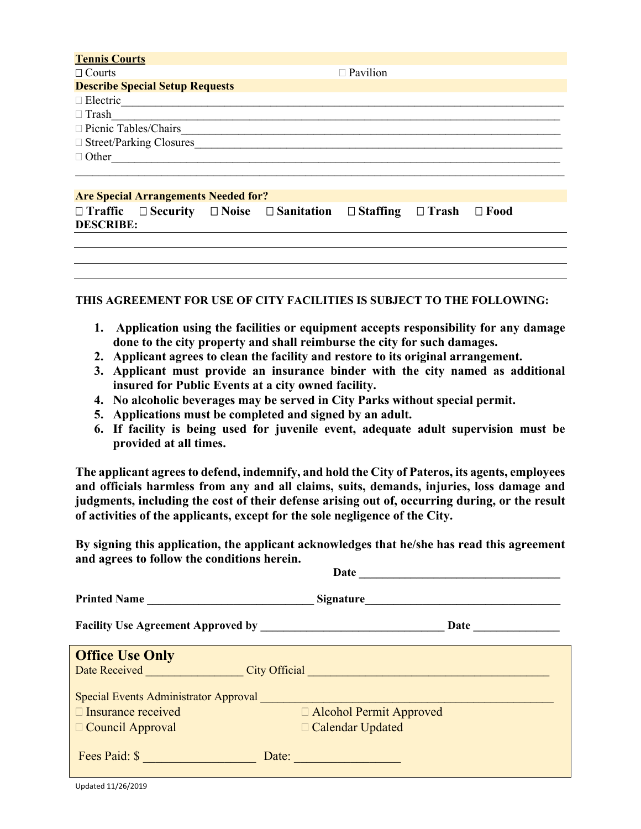| <b>Tennis Courts</b>                        |                 |
|---------------------------------------------|-----------------|
| $\Box$ Courts                               | $\Box$ Pavilion |
| <b>Describe Special Setup Requests</b>      |                 |
| $\Box$ Electric                             |                 |
| $\Box$ Trash                                |                 |
| □ Picnic Tables/Chairs                      |                 |
| $\Box$ Street/Parking Closures              |                 |
| $\Box$ Other                                |                 |
|                                             |                 |
|                                             |                 |
| <b>Are Special Arrangements Needed for?</b> |                 |

|                  | in the second contract of the second contract of the second contract of the second contract of the second contract of the second contract of the second contract of the second contract of the second contract of the second c |                                                                                                        |  |  |
|------------------|--------------------------------------------------------------------------------------------------------------------------------------------------------------------------------------------------------------------------------|--------------------------------------------------------------------------------------------------------|--|--|
|                  |                                                                                                                                                                                                                                | $\Box$ Traffic $\Box$ Security $\Box$ Noise $\Box$ Sanitation $\Box$ Staffing $\Box$ Trash $\Box$ Food |  |  |
| <b>DESCRIBE:</b> |                                                                                                                                                                                                                                |                                                                                                        |  |  |

#### **THIS AGREEMENT FOR USE OF CITY FACILITIES IS SUBJECT TO THE FOLLOWING:**

- **1. Application using the facilities or equipment accepts responsibility for any damage done to the city property and shall reimburse the city for such damages.**
- **2. Applicant agrees to clean the facility and restore to its original arrangement.**
- **3. Applicant must provide an insurance binder with the city named as additional insured for Public Events at a city owned facility.**
- **4. No alcoholic beverages may be served in City Parks without special permit.**
- **5. Applications must be completed and signed by an adult.**
- **6. If facility is being used for juvenile event, adequate adult supervision must be provided at all times.**

**The applicant agrees to defend, indemnify, and hold the City of Pateros, its agents, employees and officials harmless from any and all claims, suits, demands, injuries, loss damage and judgments, including the cost of their defense arising out of, occurring during, or the result of activities of the applicants, except for the sole negligence of the City.** 

**By signing this application, the applicant acknowledges that he/she has read this agreement and agrees to follow the conditions herein.** 

| Date                                         |                                                                      |  |  |  |
|----------------------------------------------|----------------------------------------------------------------------|--|--|--|
| Printed Name                                 | Signature                                                            |  |  |  |
|                                              | Date                                                                 |  |  |  |
| <b>Office Use Only</b>                       |                                                                      |  |  |  |
| Date Received                                | City Official <b>Calculation Calculation Calculation Calculation</b> |  |  |  |
| <b>Special Events Administrator Approval</b> |                                                                      |  |  |  |
| $\Box$ Insurance received                    | □ Alcohol Permit Approved                                            |  |  |  |
| $\Box$ Council Approval                      | □ Calendar Updated                                                   |  |  |  |
| Fees Paid: \$                                | Date:                                                                |  |  |  |

Updated 11/26/2019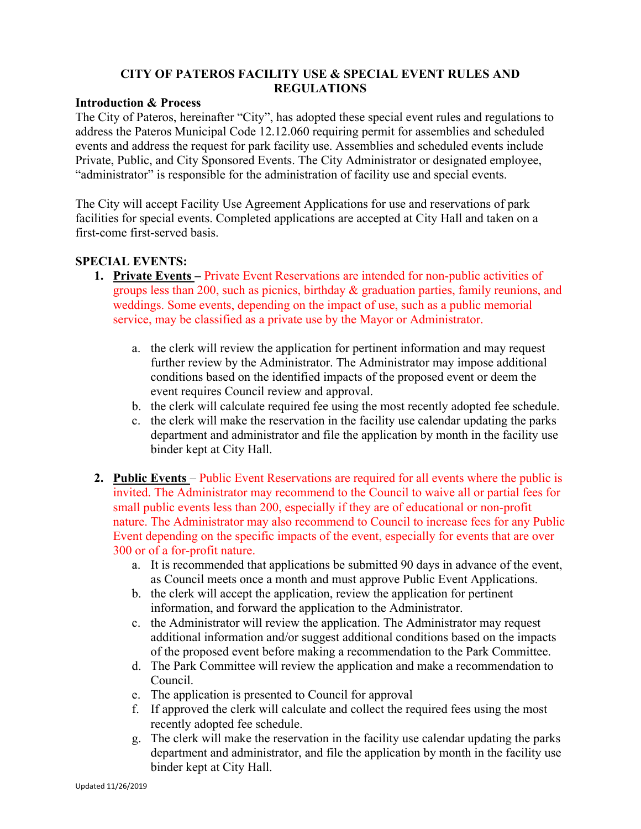## **CITY OF PATEROS FACILITY USE & SPECIAL EVENT RULES AND REGULATIONS**

#### **Introduction & Process**

The City of Pateros, hereinafter "City", has adopted these special event rules and regulations to address the Pateros Municipal Code 12.12.060 requiring permit for assemblies and scheduled events and address the request for park facility use. Assemblies and scheduled events include Private, Public, and City Sponsored Events. The City Administrator or designated employee, "administrator" is responsible for the administration of facility use and special events.

The City will accept Facility Use Agreement Applications for use and reservations of park facilities for special events. Completed applications are accepted at City Hall and taken on a first-come first-served basis.

### **SPECIAL EVENTS:**

- **1. Private Events** Private Event Reservations are intended for non-public activities of groups less than 200, such as picnics, birthday & graduation parties, family reunions, and weddings. Some events, depending on the impact of use, such as a public memorial service, may be classified as a private use by the Mayor or Administrator.
	- a. the clerk will review the application for pertinent information and may request further review by the Administrator. The Administrator may impose additional conditions based on the identified impacts of the proposed event or deem the event requires Council review and approval.
	- b. the clerk will calculate required fee using the most recently adopted fee schedule.
	- c. the clerk will make the reservation in the facility use calendar updating the parks department and administrator and file the application by month in the facility use binder kept at City Hall.
- **2. Public Events**  Public Event Reservations are required for all events where the public is invited. The Administrator may recommend to the Council to waive all or partial fees for small public events less than 200, especially if they are of educational or non-profit nature. The Administrator may also recommend to Council to increase fees for any Public Event depending on the specific impacts of the event, especially for events that are over 300 or of a for-profit nature.
	- a. It is recommended that applications be submitted 90 days in advance of the event, as Council meets once a month and must approve Public Event Applications.
	- b. the clerk will accept the application, review the application for pertinent information, and forward the application to the Administrator.
	- c. the Administrator will review the application. The Administrator may request additional information and/or suggest additional conditions based on the impacts of the proposed event before making a recommendation to the Park Committee.
	- d. The Park Committee will review the application and make a recommendation to Council.
	- e. The application is presented to Council for approval
	- f. If approved the clerk will calculate and collect the required fees using the most recently adopted fee schedule.
	- g. The clerk will make the reservation in the facility use calendar updating the parks department and administrator, and file the application by month in the facility use binder kept at City Hall.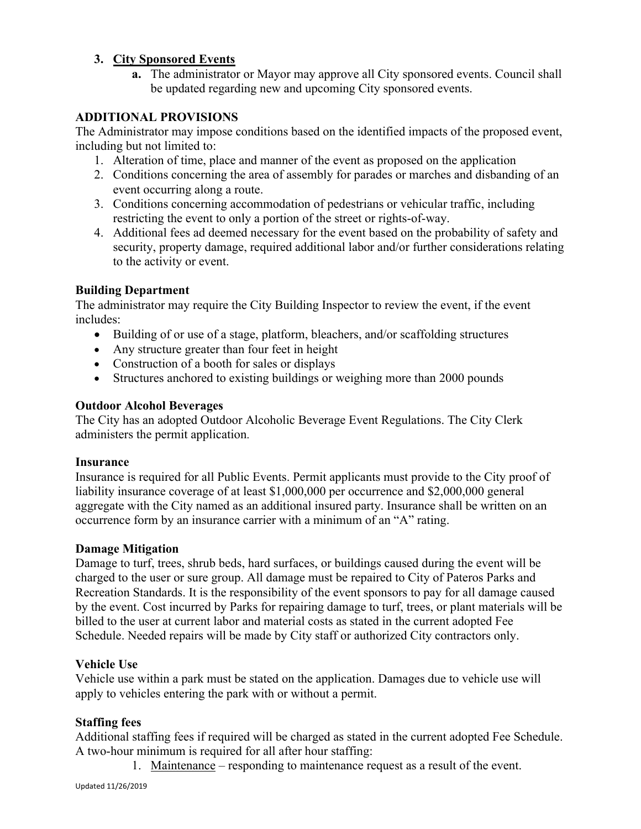## **3. City Sponsored Events**

**a.** The administrator or Mayor may approve all City sponsored events. Council shall be updated regarding new and upcoming City sponsored events.

## **ADDITIONAL PROVISIONS**

The Administrator may impose conditions based on the identified impacts of the proposed event, including but not limited to:

- 1. Alteration of time, place and manner of the event as proposed on the application
- 2. Conditions concerning the area of assembly for parades or marches and disbanding of an event occurring along a route.
- 3. Conditions concerning accommodation of pedestrians or vehicular traffic, including restricting the event to only a portion of the street or rights-of-way.
- 4. Additional fees ad deemed necessary for the event based on the probability of safety and security, property damage, required additional labor and/or further considerations relating to the activity or event.

## **Building Department**

The administrator may require the City Building Inspector to review the event, if the event includes:

- Building of or use of a stage, platform, bleachers, and/or scaffolding structures
- Any structure greater than four feet in height
- Construction of a booth for sales or displays
- Structures anchored to existing buildings or weighing more than 2000 pounds

## **Outdoor Alcohol Beverages**

The City has an adopted Outdoor Alcoholic Beverage Event Regulations. The City Clerk administers the permit application.

### **Insurance**

Insurance is required for all Public Events. Permit applicants must provide to the City proof of liability insurance coverage of at least \$1,000,000 per occurrence and \$2,000,000 general aggregate with the City named as an additional insured party. Insurance shall be written on an occurrence form by an insurance carrier with a minimum of an "A" rating.

### **Damage Mitigation**

Damage to turf, trees, shrub beds, hard surfaces, or buildings caused during the event will be charged to the user or sure group. All damage must be repaired to City of Pateros Parks and Recreation Standards. It is the responsibility of the event sponsors to pay for all damage caused by the event. Cost incurred by Parks for repairing damage to turf, trees, or plant materials will be billed to the user at current labor and material costs as stated in the current adopted Fee Schedule. Needed repairs will be made by City staff or authorized City contractors only.

### **Vehicle Use**

Vehicle use within a park must be stated on the application. Damages due to vehicle use will apply to vehicles entering the park with or without a permit.

### **Staffing fees**

Additional staffing fees if required will be charged as stated in the current adopted Fee Schedule. A two-hour minimum is required for all after hour staffing:

1. Maintenance – responding to maintenance request as a result of the event.